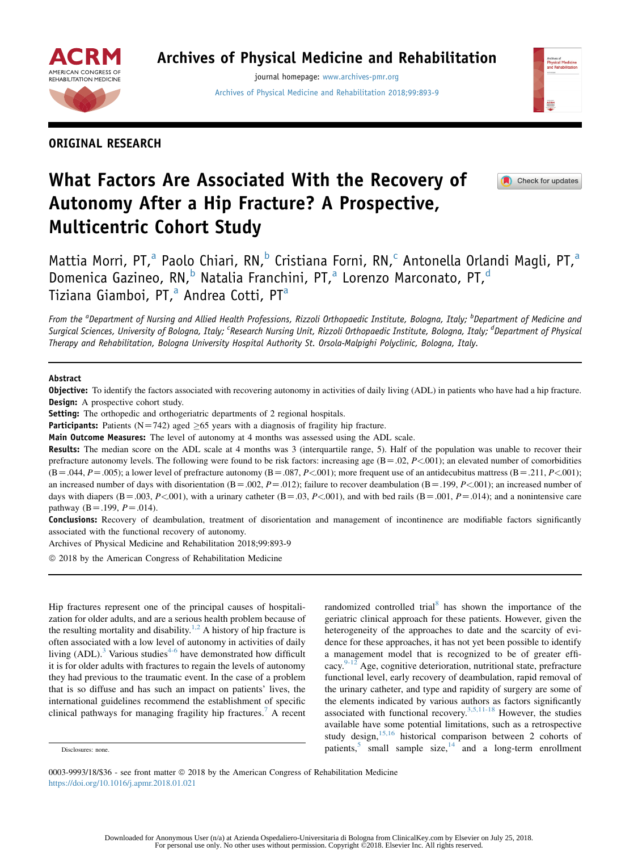

journal homepage: [www.archives-pmr.org](http://www.archives-pmr.org) [Archives of Physical Medicine and Rehabilitation 2018;99:893-9](https://doi.org/10.1016/j.apmr.2018.01.021)

# ORIGINAL RESEARCH

# What Factors Are Associated With the Recovery of Autonomy After a Hip Fracture? A Prospective, Multicentric Cohort Study



Mattia Morri, PT,<sup>a</sup> Paolo Chiari, RN,<sup>b</sup> Cristiana Forni, RN,<sup>c</sup> Antonella Orlandi Maqli, PT,<sup>a</sup> Domenica Gazineo, RN,<sup>b</sup> Natalia Franchini, PT,<sup>a</sup> Lorenzo Marconato, PT,<sup>d</sup> Tiziana Giamboi, PT,<sup>a</sup> Andrea Cotti, PT<sup>a</sup>

From the <sup>a</sup>Department of Nursing and Allied Health Professions, Rizzoli Orthopaedic Institute, Bologna, Italy; <sup>b</sup>Department of Medicine and Surgical Sciences, University of Bologna, Italy; <sup>c</sup>Research Nursing Unit, Rizzoli Orthopaedic Institute, Bologna, Italy; <sup>d</sup>Department of Physical Therapy and Rehabilitation, Bologna University Hospital Authority St. Orsola-Malpighi Polyclinic, Bologna, Italy.

#### Abstract

Objective: To identify the factors associated with recovering autonomy in activities of daily living (ADL) in patients who have had a hip fracture. Design: A prospective cohort study.

Setting: The orthopedic and orthogeriatric departments of 2 regional hospitals.

**Participants:** Patients (N=742) aged  $\geq$ 65 years with a diagnosis of fragility hip fracture.

Main Outcome Measures: The level of autonomy at 4 months was assessed using the ADL scale.

Results: The median score on the ADL scale at 4 months was 3 (interquartile range, 5). Half of the population was unable to recover their prefracture autonomy levels. The following were found to be risk factors: increasing age  $(B=.02, P<.001)$ ; an elevated number of comorbidities  $(B=0.04, P=0.005)$ ; a lower level of prefracture autonomy  $(B=0.087, P<0.01)$ ; more frequent use of an antidecubitus mattress  $(B=.211, P<0.01)$ ; an increased number of days with disorientation ( $B = .002$ ,  $P = .012$ ); failure to recover deambulation ( $B = .199$ ,  $P < .001$ ); an increased number of days with diapers (B=.003, P<.001), with a urinary catheter (B=.03, P<.001), and with bed rails (B=.001, P=.014); and a nonintensive care pathway ( $B = .199$ ,  $P = .014$ ).

Conclusions: Recovery of deambulation, treatment of disorientation and management of incontinence are modifiable factors significantly associated with the functional recovery of autonomy.

Archives of Physical Medicine and Rehabilitation 2018;99:893-9

 $\odot$  2018 by the American Congress of Rehabilitation Medicine

Hip fractures represent one of the principal causes of hospitalization for older adults, and are a serious health problem because of the resulting mortality and disability.<sup>1,2</sup> A history of hip fracture is often associated with a low level of autonomy in activities of daily living (ADL).<sup>3</sup> Various studies<sup>[4-6](#page-5-0)</sup> have demonstrated how difficult it is for older adults with fractures to regain the levels of autonomy they had previous to the traumatic event. In the case of a problem that is so diffuse and has such an impact on patients' lives, the international guidelines recommend the establishment of specific clinical pathways for managing fragility hip fractures.<sup>[7](#page-5-0)</sup> A recent

randomized controlled trial<sup>[8](#page-6-0)</sup> has shown the importance of the geriatric clinical approach for these patients. However, given the heterogeneity of the approaches to date and the scarcity of evidence for these approaches, it has not yet been possible to identify a management model that is recognized to be of greater efficacy[.9-12](#page-6-0) Age, cognitive deterioration, nutritional state, prefracture functional level, early recovery of deambulation, rapid removal of the urinary catheter, and type and rapidity of surgery are some of the elements indicated by various authors as factors significantly associated with functional recovery.<sup>3,5,11-18</sup> However, the studies available have some potential limitations, such as a retrospective study design,[15,16](#page-6-0) historical comparison between 2 cohorts of Disclosures: none.  $\overline{\phantom{a}}$  patients,<sup>[5](#page-5-0)</sup> small sample size,<sup>[14](#page-6-0)</sup> and a long-term enrollment

0003-9993/18/\$36 - see front matter © 2018 by the American Congress of Rehabilitation Medicine <https://doi.org/10.1016/j.apmr.2018.01.021>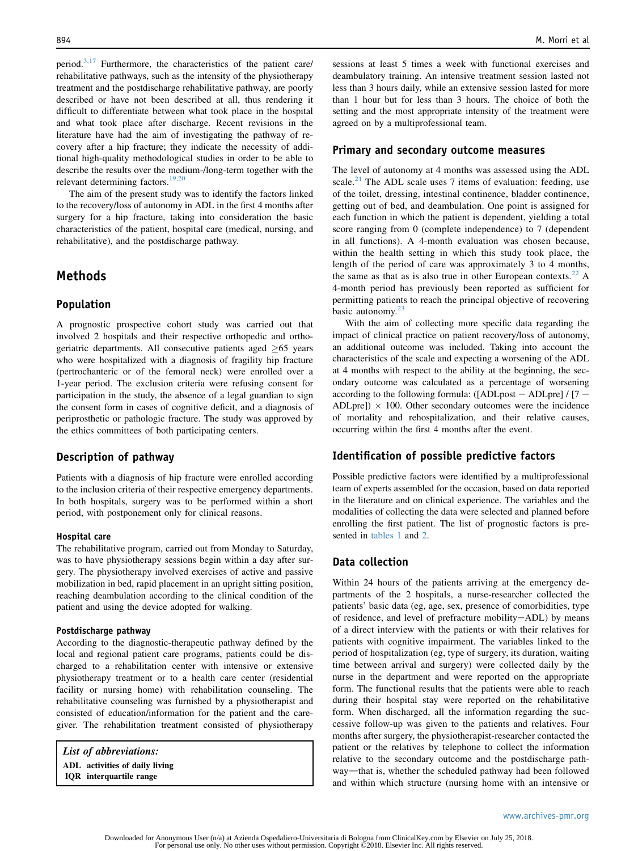period. $3,17$  Furthermore, the characteristics of the patient care/ rehabilitative pathways, such as the intensity of the physiotherapy treatment and the postdischarge rehabilitative pathway, are poorly described or have not been described at all, thus rendering it difficult to differentiate between what took place in the hospital and what took place after discharge. Recent revisions in the literature have had the aim of investigating the pathway of recovery after a hip fracture; they indicate the necessity of additional high-quality methodological studies in order to be able to describe the results over the medium-/long-term together with the relevant determining factors.<sup>[19,20](#page-6-0)</sup>

The aim of the present study was to identify the factors linked to the recovery/loss of autonomy in ADL in the first 4 months after surgery for a hip fracture, taking into consideration the basic characteristics of the patient, hospital care (medical, nursing, and rehabilitative), and the postdischarge pathway.

# Methods

#### Population

A prognostic prospective cohort study was carried out that involved 2 hospitals and their respective orthopedic and orthogeriatric departments. All consecutive patients aged  $\geq 65$  years who were hospitalized with a diagnosis of fragility hip fracture (pertrochanteric or of the femoral neck) were enrolled over a 1-year period. The exclusion criteria were refusing consent for participation in the study, the absence of a legal guardian to sign the consent form in cases of cognitive deficit, and a diagnosis of periprosthetic or pathologic fracture. The study was approved by the ethics committees of both participating centers.

#### Description of pathway

Patients with a diagnosis of hip fracture were enrolled according to the inclusion criteria of their respective emergency departments. In both hospitals, surgery was to be performed within a short period, with postponement only for clinical reasons.

#### Hospital care

The rehabilitative program, carried out from Monday to Saturday, was to have physiotherapy sessions begin within a day after surgery. The physiotherapy involved exercises of active and passive mobilization in bed, rapid placement in an upright sitting position, reaching deambulation according to the clinical condition of the patient and using the device adopted for walking.

#### Postdischarge pathway

According to the diagnostic-therapeutic pathway defined by the local and regional patient care programs, patients could be discharged to a rehabilitation center with intensive or extensive physiotherapy treatment or to a health care center (residential facility or nursing home) with rehabilitation counseling. The rehabilitative counseling was furnished by a physiotherapist and consisted of education/information for the patient and the caregiver. The rehabilitation treatment consisted of physiotherapy

List of abbreviations: ADL activities of daily living IQR interquartile range

sessions at least 5 times a week with functional exercises and deambulatory training. An intensive treatment session lasted not less than 3 hours daily, while an extensive session lasted for more than 1 hour but for less than 3 hours. The choice of both the setting and the most appropriate intensity of the treatment were agreed on by a multiprofessional team.

#### Primary and secondary outcome measures

The level of autonomy at 4 months was assessed using the ADL scale.<sup>[21](#page-6-0)</sup> The ADL scale uses 7 items of evaluation: feeding, use of the toilet, dressing, intestinal continence, bladder continence, getting out of bed, and deambulation. One point is assigned for each function in which the patient is dependent, yielding a total score ranging from 0 (complete independence) to 7 (dependent in all functions). A 4-month evaluation was chosen because, within the health setting in which this study took place, the length of the period of care was approximately 3 to 4 months, the same as that as is also true in other European contexts. $^{22}$  $^{22}$  $^{22}$  A 4-month period has previously been reported as sufficient for permitting patients to reach the principal objective of recovering basic autonomy.<sup>2</sup>

With the aim of collecting more specific data regarding the impact of clinical practice on patient recovery/loss of autonomy, an additional outcome was included. Taking into account the characteristics of the scale and expecting a worsening of the ADL at 4 months with respect to the ability at the beginning, the secondary outcome was calculated as a percentage of worsening according to the following formula: ( $[ADLpost - ADLpre] / [7 -$ ADLpre])  $\times$  100. Other secondary outcomes were the incidence of mortality and rehospitalization, and their relative causes, occurring within the first 4 months after the event.

#### Identification of possible predictive factors

Possible predictive factors were identified by a multiprofessional team of experts assembled for the occasion, based on data reported in the literature and on clinical experience. The variables and the modalities of collecting the data were selected and planned before enrolling the first patient. The list of prognostic factors is presented in [tables 1](#page-2-0) and [2](#page-2-0).

### Data collection

Within 24 hours of the patients arriving at the emergency departments of the 2 hospitals, a nurse-researcher collected the patients' basic data (eg, age, sex, presence of comorbidities, type of residence, and level of prefracture mobility-ADL) by means of a direct interview with the patients or with their relatives for patients with cognitive impairment. The variables linked to the period of hospitalization (eg, type of surgery, its duration, waiting time between arrival and surgery) were collected daily by the nurse in the department and were reported on the appropriate form. The functional results that the patients were able to reach during their hospital stay were reported on the rehabilitative form. When discharged, all the information regarding the successive follow-up was given to the patients and relatives. Four months after surgery, the physiotherapist-researcher contacted the patient or the relatives by telephone to collect the information relative to the secondary outcome and the postdischarge pathway—that is, whether the scheduled pathway had been followed and within which structure (nursing home with an intensive or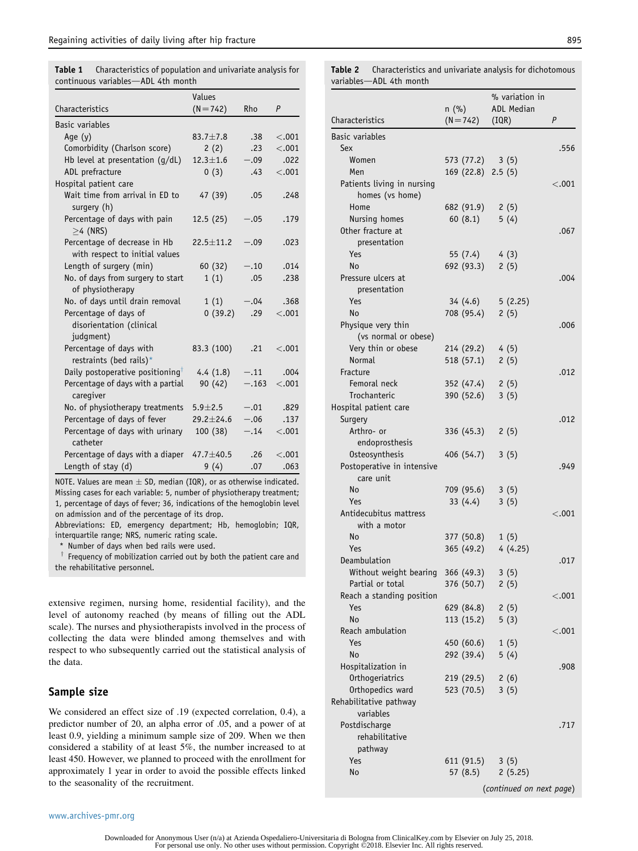<span id="page-2-0"></span>Table 1 Characteristics of population and univariate analysis for continuous variables-ADL 4th month

|                                                                | Values          |         |                |
|----------------------------------------------------------------|-----------------|---------|----------------|
| Characteristics                                                | $(N = 742)$     | Rho     | $\overline{P}$ |
| Basic variables                                                |                 |         |                |
| Age $(y)$                                                      | $83.7 \pm 7.8$  | .38     | < .001         |
| Comorbidity (Charlson score)                                   | 2(2)            | .23     | < 0.001        |
| Hb level at presentation $(q/dL)$                              | $12.3 \pm 1.6$  | $-.09$  | .022           |
| ADL prefracture                                                | 0(3)            | .43     | < .001         |
| Hospital patient care                                          |                 |         |                |
| Wait time from arrival in ED to<br>surgery (h)                 | 47 (39)         | .05     | .248           |
| Percentage of days with pain<br>$>4$ (NRS)                     | 12.5(25)        | $-.05$  | .179           |
| Percentage of decrease in Hb<br>with respect to initial values | $22.5 \pm 11.2$ | $-.09$  | .023           |
| Length of surgery (min)                                        | 60 (32)         | $-.10$  | .014           |
| No. of days from surgery to start<br>of physiotherapy          | 1(1)            | .05     | .238           |
| No. of days until drain removal                                | 1(1)            | $-.04$  | .368           |
| Percentage of days of<br>disorientation (clinical<br>judgment) | 0(39.2)         | .29     | < .001         |
| Percentage of days with<br>restraints (bed rails)*             | 83.3 (100)      | .21     | < 0.001        |
| Daily postoperative positioning <sup>†</sup>                   | 4.4(1.8)        | $-.11$  | .004           |
| Percentage of days with a partial<br>caregiver                 | 90 (42)         | $-.163$ | < .001         |
| No. of physiotherapy treatments                                | $5.9 \pm 2.5$   | $-.01$  | .829           |
| Percentage of days of fever                                    | $29.2 \pm 24.6$ | $-.06$  | .137           |
| Percentage of days with urinary<br>catheter                    | 100(38)         | $-.14$  | < .001         |
| Percentage of days with a diaper                               | 47.7±40.5       | .26     | < .001         |
| Length of stay (d)                                             | 9(4)            | .07     | .063           |

NOTE. Values are mean  $\pm$  SD, median (IQR), or as otherwise indicated. Missing cases for each variable: 5, number of physiotherapy treatment; 1, percentage of days of fever; 36, indications of the hemoglobin level on admission and of the percentage of its drop.

Abbreviations: ED, emergency department; Hb, hemoglobin; IQR, interquartile range; NRS, numeric rating scale.

Number of days when bed rails were used.

Frequency of mobilization carried out by both the patient care and the rehabilitative personnel.

extensive regimen, nursing home, residential facility), and the level of autonomy reached (by means of filling out the ADL scale). The nurses and physiotherapists involved in the process of collecting the data were blinded among themselves and with respect to who subsequently carried out the statistical analysis of the data.

#### Sample size

We considered an effect size of .19 (expected correlation, 0.4), a predictor number of 20, an alpha error of .05, and a power of at least 0.9, yielding a minimum sample size of 209. When we then considered a stability of at least 5%, the number increased to at least 450. However, we planned to proceed with the enrollment for approximately 1 year in order to avoid the possible effects linked to the seasonality of the recruitment.

Table 2 Characteristics and univariate analysis for dichotomous variables-ADL 4th month

|                                    | $n$ (%)                  | % variation in<br><b>ADL Median</b> | P      |
|------------------------------------|--------------------------|-------------------------------------|--------|
| Characteristics                    | $(N = 742)$              | (IQR)                               |        |
| <b>Basic variables</b>             |                          |                                     |        |
| Sex<br>Women                       | $573(77.2)$ 3(5)         |                                     | .556   |
| Men                                | 169 (22.8) 2.5 (5)       |                                     |        |
| Patients living in nursing         |                          |                                     | < .001 |
| homes (vs home)                    |                          |                                     |        |
| Home                               | 682 (91.9)               | 2(5)                                |        |
| Nursing homes<br>Other fracture at | 60(8.1)                  | 5(4)                                | .067   |
| presentation                       |                          |                                     |        |
| Yes                                | 55 (7.4)                 | 4(3)                                |        |
| No                                 | 692 (93.3)               | 2(5)                                |        |
| Pressure ulcers at                 |                          |                                     | .004   |
| presentation                       |                          |                                     |        |
| Yes                                | 34(4.6)                  | 5(2.25)                             |        |
| No                                 | 708 (95.4)               | 2(5)                                |        |
| Physique very thin                 |                          |                                     | .006   |
| (vs normal or obese)               |                          |                                     |        |
| Very thin or obese                 | 214 (29.2)               | 4(5)                                |        |
| Normal                             | 518 (57.1)               | 2(5)                                |        |
| Fracture                           |                          |                                     | .012   |
| Femoral neck                       | 352 (47.4)               | 2(5)                                |        |
| Trochanteric                       | 390 (52.6)               | 3(5)                                |        |
| Hospital patient care              |                          |                                     |        |
| Surgery<br>Arthro- or              |                          |                                     | .012   |
| endoprosthesis                     | 336 (45.3)               | 2(5)                                |        |
| Osteosynthesis                     | 406 (54.7)               | 3(5)                                |        |
| Postoperative in intensive         |                          |                                     | .949   |
| care unit                          |                          |                                     |        |
| No                                 | 709 (95.6)               | 3(5)                                |        |
| Yes                                | 33(4.4)                  | 3(5)                                |        |
| Antidecubitus mattress             |                          |                                     | < .001 |
| with a motor                       |                          |                                     |        |
| No<br>Yes                          | 377 (50.8)<br>365 (49.2) | 1(5)<br>4(4.25)                     |        |
| Deambulation                       |                          |                                     | .017   |
| Without weight bearing             | 366 (49.3)               | 3(5)                                |        |
| Partial or total                   | 376 (50.7)               | 2(5)                                |        |
| Reach a standing position          |                          |                                     | < .001 |
| Yes                                | 629 (84.8)               | 2(5)                                |        |
| No                                 | 113 (15.2)               | 5(3)                                |        |
| Reach ambulation                   |                          |                                     | < .001 |
| Yes                                | 450 (60.6)               | 1(5)                                |        |
| No                                 | 292 (39.4)               | 5(4)                                |        |
| Hospitalization in                 |                          |                                     | .908   |
| Orthogeriatrics                    | 219 (29.5)               | 2(6)                                |        |
| Orthopedics ward                   | 523 (70.5)               | 3(5)                                |        |
| Rehabilitative pathway             |                          |                                     |        |
| variables                          |                          |                                     |        |
| Postdischarge<br>rehabilitative    |                          |                                     | .717   |
| pathway                            |                          |                                     |        |
| Yes                                | 611 (91.5)               | 3(5)                                |        |
| No                                 | 57(8.5)                  | 2(5.25)                             |        |
|                                    |                          |                                     |        |
|                                    |                          | (continued on next page)            |        |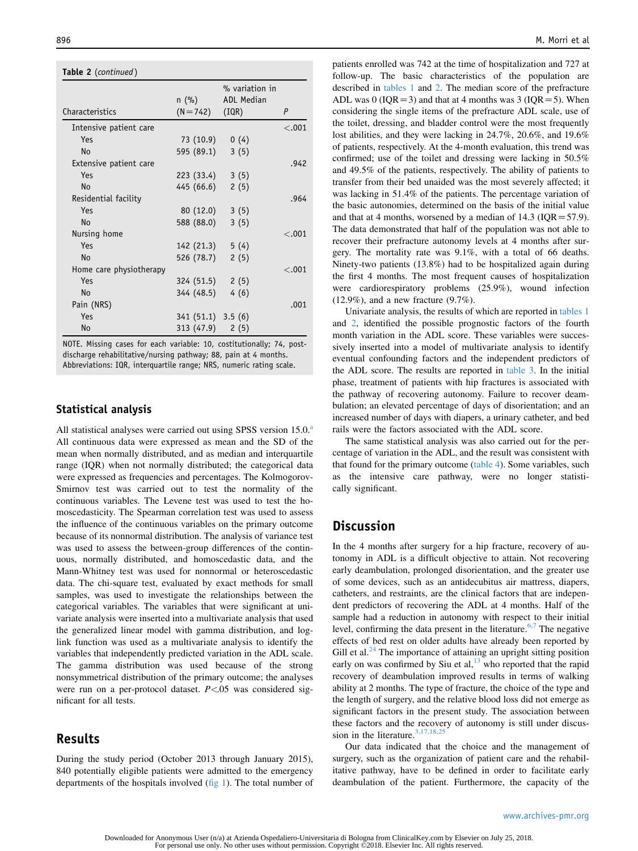Table 2 (continued)

|                         | n (%)               | % variation in<br><b>ADL Median</b> |         |
|-------------------------|---------------------|-------------------------------------|---------|
| Characteristics         | $(N=742)$           | (IQR)                               | P       |
| Intensive patient care  |                     |                                     | < .001  |
| Yes                     | 73(10.9) 0(4)       |                                     |         |
| <b>No</b>               | 595 (89.1)          | 3(5)                                |         |
| Extensive patient care  |                     |                                     | .942    |
| Yes                     | 223 (33.4)          | 3(5)                                |         |
| No                      | 445 (66.6)          | 2(5)                                |         |
| Residential facility    |                     |                                     | .964    |
| Yes                     | 80(12.0)            | 3(5)                                |         |
| <b>No</b>               | 588 (88.0)          | 3(5)                                |         |
| Nursing home            |                     |                                     | $-.001$ |
| Yes                     | $142(21.3)$ 5(4)    |                                     |         |
| No                      | 526 (78.7)          | 2(5)                                |         |
| Home care physiotherapy |                     |                                     | $-.001$ |
| Yes                     | 324 (51.5)          | 2(5)                                |         |
| <b>No</b>               | 344 (48.5)          | 4(6)                                |         |
| Pain (NRS)              |                     |                                     | .001    |
| Yes                     | $341(51.1)$ 3.5 (6) |                                     |         |
| <b>No</b>               | $313(47.9)$ 2(5)    |                                     |         |

NOTE. Missing cases for each variable: 10, costitutionally; 74, postdischarge rehabilitative/nursing pathway; 88, pain at 4 months. Abbreviations: IQR, interquartile range; NRS, numeric rating scale.

#### Statistical analysis

All statistical analyses were carried out using SPSS version 15.0.<sup>a</sup> All continuous data were expressed as mean and the SD of the mean when normally distributed, and as median and interquartile range (IQR) when not normally distributed; the categorical data were expressed as frequencies and percentages. The Kolmogorov-Smirnov test was carried out to test the normality of the continuous variables. The Levene test was used to test the homoscedasticity. The Spearman correlation test was used to assess the influence of the continuous variables on the primary outcome because of its nonnormal distribution. The analysis of variance test was used to assess the between-group differences of the continuous, normally distributed, and homoscedastic data, and the Mann-Whitney test was used for nonnormal or heteroscedastic data. The chi-square test, evaluated by exact methods for small samples, was used to investigate the relationships between the categorical variables. The variables that were significant at univariate analysis were inserted into a multivariate analysis that used the generalized linear model with gamma distribution, and loglink function was used as a multivariate analysis to identify the variables that independently predicted variation in the ADL scale. The gamma distribution was used because of the strong nonsymmetrical distribution of the primary outcome; the analyses were run on a per-protocol dataset.  $P < .05$  was considered significant for all tests.

# Results

During the study period (October 2013 through January 2015), 840 potentially eligible patients were admitted to the emergency departments of the hospitals involved [\(fig 1\)](#page-4-0). The total number of patients enrolled was 742 at the time of hospitalization and 727 at follow-up. The basic characteristics of the population are described in [tables 1](#page-2-0) and [2.](#page-2-0) The median score of the prefracture ADL was 0 (IQR = 3) and that at 4 months was 3 (IQR = 5). When considering the single items of the prefracture ADL scale, use of the toilet, dressing, and bladder control were the most frequently lost abilities, and they were lacking in 24.7%, 20.6%, and 19.6% of patients, respectively. At the 4-month evaluation, this trend was confirmed; use of the toilet and dressing were lacking in 50.5% and 49.5% of the patients, respectively. The ability of patients to transfer from their bed unaided was the most severely affected; it was lacking in 51.4% of the patients. The percentage variation of the basic autonomies, determined on the basis of the initial value and that at 4 months, worsened by a median of  $14.3$  (IQR = 57.9). The data demonstrated that half of the population was not able to recover their prefracture autonomy levels at 4 months after surgery. The mortality rate was 9.1%, with a total of 66 deaths. Ninety-two patients (13.8%) had to be hospitalized again during the first 4 months. The most frequent causes of hospitalization were cardiorespiratory problems (25.9%), wound infection (12.9%), and a new fracture (9.7%).

Univariate analysis, the results of which are reported in [tables 1](#page-2-0) and [2,](#page-2-0) identified the possible prognostic factors of the fourth month variation in the ADL score. These variables were successively inserted into a model of multivariate analysis to identify eventual confounding factors and the independent predictors of the ADL score. The results are reported in [table 3](#page-4-0). In the initial phase, treatment of patients with hip fractures is associated with the pathway of recovering autonomy. Failure to recover deambulation; an elevated percentage of days of disorientation; and an increased number of days with diapers, a urinary catheter, and bed rails were the factors associated with the ADL score.

The same statistical analysis was also carried out for the percentage of variation in the ADL, and the result was consistent with that found for the primary outcome [\(table 4\)](#page-4-0). Some variables, such as the intensive care pathway, were no longer statistically significant.

# **Discussion**

In the 4 months after surgery for a hip fracture, recovery of autonomy in ADL is a difficult objective to attain. Not recovering early deambulation, prolonged disorientation, and the greater use of some devices, such as an antidecubitus air mattress, diapers, catheters, and restraints, are the clinical factors that are independent predictors of recovering the ADL at 4 months. Half of the sample had a reduction in autonomy with respect to their initial level, confirming the data present in the literature.<sup>[6,7](#page-5-0)</sup> The negative effects of bed rest on older adults have already been reported by Gill et al. $^{24}$  $^{24}$  $^{24}$  The importance of attaining an upright sitting position early on was confirmed by Siu et al, $^{13}$  $^{13}$  $^{13}$  who reported that the rapid recovery of deambulation improved results in terms of walking ability at 2 months. The type of fracture, the choice of the type and the length of surgery, and the relative blood loss did not emerge as significant factors in the present study. The association between these factors and the recovery of autonomy is still under discussion in the literature.  $3,17,18,25$ 

Our data indicated that the choice and the management of surgery, such as the organization of patient care and the rehabilitative pathway, have to be defined in order to facilitate early deambulation of the patient. Furthermore, the capacity of the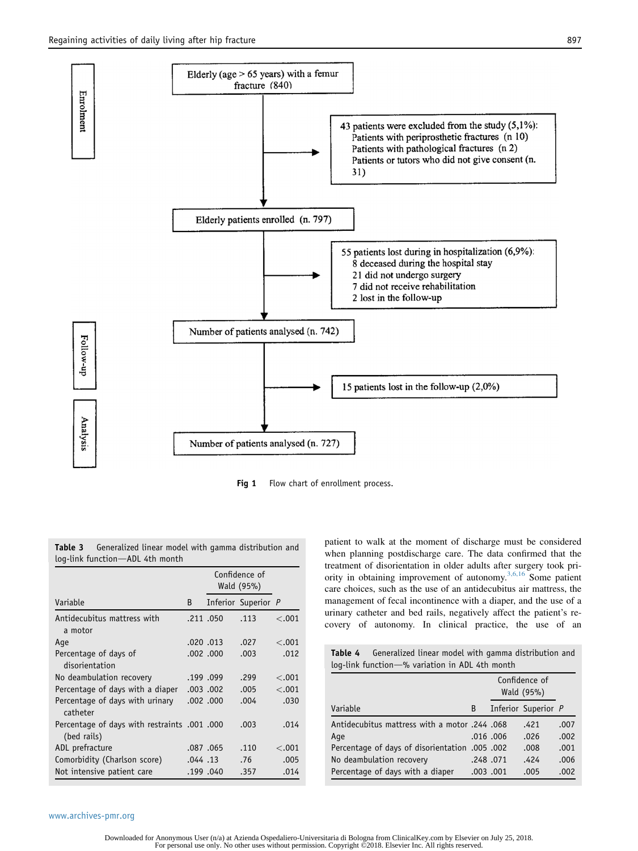<span id="page-4-0"></span>

Fig 1 Flow chart of enrollment process.

| loq-lınk functıon—ADL 4th month                             |   |                             |                     |        |
|-------------------------------------------------------------|---|-----------------------------|---------------------|--------|
|                                                             |   | Confidence of<br>Wald (95%) |                     |        |
| Variable                                                    | B |                             | Inferior Superior P |        |
| Antidecubitus mattress with<br>a motor                      |   | .211.050                    | .113                | < .001 |
| Age                                                         |   | .020.013                    | .027                | < .001 |
| Percentage of days of<br>disorientation                     |   | .002.000                    | .003                | .012   |
| No deambulation recovery                                    |   | .199.099                    | .299                | < .001 |
| Percentage of days with a diaper                            |   | .003.002                    | .005                | < .001 |
| Percentage of days with urinary<br>catheter                 |   | .002.000                    | .004                | .030   |
| Percentage of days with restraints .001 .000<br>(bed rails) |   |                             | .003                | .014   |
| ADL prefracture                                             |   | .087.065                    | .110                | < .001 |
| Comorbidity (Charlson score)                                |   | .044.13                     | .76                 | .005   |
| Not intensive patient care                                  |   | .199.040                    | .357                | .014   |

Table 3 Generalized linear model with gamma distribution and log-link function-ADL 4th month

patient to walk at the moment of discharge must be considered when planning postdischarge care. The data confirmed that the treatment of disorientation in older adults after surgery took priority in obtaining improvement of autonomy.[3,6,16](#page-5-0) Some patient care choices, such as the use of an antidecubitus air mattress, the management of fecal incontinence with a diaper, and the use of a urinary catheter and bed rails, negatively affect the patient's recovery of autonomy. In clinical practice, the use of an

Table 4 Generalized linear model with gamma distribution and log-link function-% variation in ADL 4th month

|                                                |   | Confidence of<br>Wald (95%) |                     |      |
|------------------------------------------------|---|-----------------------------|---------------------|------|
| Variable                                       | B |                             | Inferior Superior P |      |
| Antidecubitus mattress with a motor .244 .068  |   |                             | .421                | .007 |
| Age                                            |   | .016.006                    | .026                | .002 |
| Percentage of days of disorientation .005 .002 |   |                             | .008                | .001 |
| No deambulation recovery                       |   | .248.071                    | .424                | .006 |
| Percentage of days with a diaper               |   | .003.001                    | .005                | .002 |

#### [www.archives-pmr.org](http://www.archives-pmr.org)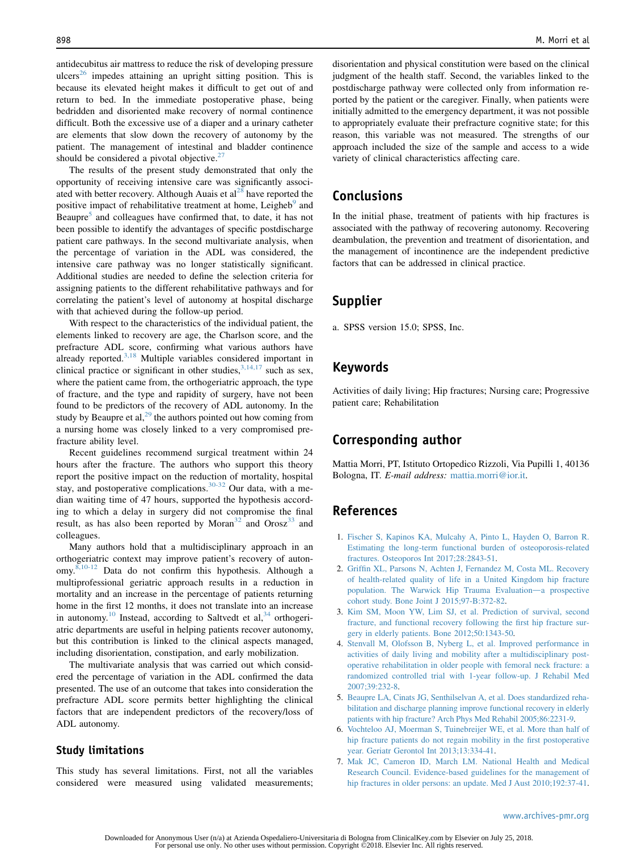<span id="page-5-0"></span>antidecubitus air mattress to reduce the risk of developing pressure ulcers<sup>[26](#page-6-0)</sup> impedes attaining an upright sitting position. This is because its elevated height makes it difficult to get out of and return to bed. In the immediate postoperative phase, being bedridden and disoriented make recovery of normal continence difficult. Both the excessive use of a diaper and a urinary catheter are elements that slow down the recovery of autonomy by the patient. The management of intestinal and bladder continence should be considered a pivotal objective.<sup>[27](#page-6-0)</sup>

The results of the present study demonstrated that only the opportunity of receiving intensive care was significantly associated with better recovery. Although Auais et  $al^{28}$  have reported the positive impact of rehabilitative treatment at home, Leigheb<sup>[9](#page-6-0)</sup> and Beaupre<sup>5</sup> and colleagues have confirmed that, to date, it has not been possible to identify the advantages of specific postdischarge patient care pathways. In the second multivariate analysis, when the percentage of variation in the ADL was considered, the intensive care pathway was no longer statistically significant. Additional studies are needed to define the selection criteria for assigning patients to the different rehabilitative pathways and for correlating the patient's level of autonomy at hospital discharge with that achieved during the follow-up period.

With respect to the characteristics of the individual patient, the elements linked to recovery are age, the Charlson score, and the prefracture ADL score, confirming what various authors have already reported. $3,18$  Multiple variables considered important in clinical practice or significant in other studies,  $3,14,17$  such as sex, where the patient came from, the orthogeriatric approach, the type of fracture, and the type and rapidity of surgery, have not been found to be predictors of the recovery of ADL autonomy. In the study by Beaupre et al, $^{29}$  $^{29}$  $^{29}$  the authors pointed out how coming from a nursing home was closely linked to a very compromised prefracture ability level.

Recent guidelines recommend surgical treatment within 24 hours after the fracture. The authors who support this theory report the positive impact on the reduction of mortality, hospital stay, and postoperative complications.<sup>[30-32](#page-6-0)</sup> Our data, with a median waiting time of 47 hours, supported the hypothesis according to which a delay in surgery did not compromise the final result, as has also been reported by Moran<sup>[32](#page-6-0)</sup> and Oros $z^{33}$  $z^{33}$  $z^{33}$  and colleagues.

Many authors hold that a multidisciplinary approach in an orthogeriatric context may improve patient's recovery of autonomy. $8,10-12$  Data do not confirm this hypothesis. Although a multiprofessional geriatric approach results in a reduction in mortality and an increase in the percentage of patients returning home in the first 12 months, it does not translate into an increase in autonomy.<sup>[10](#page-6-0)</sup> Instead, according to Saltvedt et al,  $34$  orthogeriatric departments are useful in helping patients recover autonomy, but this contribution is linked to the clinical aspects managed, including disorientation, constipation, and early mobilization.

The multivariate analysis that was carried out which considered the percentage of variation in the ADL confirmed the data presented. The use of an outcome that takes into consideration the prefracture ADL score permits better highlighting the clinical factors that are independent predictors of the recovery/loss of ADL autonomy.

#### Study limitations

This study has several limitations. First, not all the variables considered were measured using validated measurements; disorientation and physical constitution were based on the clinical judgment of the health staff. Second, the variables linked to the postdischarge pathway were collected only from information reported by the patient or the caregiver. Finally, when patients were initially admitted to the emergency department, it was not possible to appropriately evaluate their prefracture cognitive state; for this reason, this variable was not measured. The strengths of our approach included the size of the sample and access to a wide variety of clinical characteristics affecting care.

# Conclusions

In the initial phase, treatment of patients with hip fractures is associated with the pathway of recovering autonomy. Recovering deambulation, the prevention and treatment of disorientation, and the management of incontinence are the independent predictive factors that can be addressed in clinical practice.

# Supplier

a. SPSS version 15.0; SPSS, Inc.

## Keywords

Activities of daily living; Hip fractures; Nursing care; Progressive patient care; Rehabilitation

# Corresponding author

Mattia Morri, PT, Istituto Ortopedico Rizzoli, Via Pupilli 1, 40136 Bologna, IT. E-mail address: [mattia.morri@ior.it](mailto:mattia.morri@ior.it).

# References

- 1. [Fischer S, Kapinos KA, Mulcahy A, Pinto L, Hayden O, Barron R.](http://refhub.elsevier.com/S0003-9993(18)30095-9/sref1) [Estimating the long-term functional burden of osteoporosis-related](http://refhub.elsevier.com/S0003-9993(18)30095-9/sref1) [fractures. Osteoporos Int 2017;28:2843-51](http://refhub.elsevier.com/S0003-9993(18)30095-9/sref1).
- 2. [Griffin XL, Parsons N, Achten J, Fernandez M, Costa ML. Recovery](http://refhub.elsevier.com/S0003-9993(18)30095-9/sref2) [of health-related quality of life in a United Kingdom hip fracture](http://refhub.elsevier.com/S0003-9993(18)30095-9/sref2) [population. The Warwick Hip Trauma Evaluation](http://refhub.elsevier.com/S0003-9993(18)30095-9/sref2)-[a prospective](http://refhub.elsevier.com/S0003-9993(18)30095-9/sref2) [cohort study. Bone Joint J 2015;97-B:372-82.](http://refhub.elsevier.com/S0003-9993(18)30095-9/sref2)
- 3. [Kim SM, Moon YW, Lim SJ, et al. Prediction of survival, second](http://refhub.elsevier.com/S0003-9993(18)30095-9/sref3) [fracture, and functional recovery following the first hip fracture sur](http://refhub.elsevier.com/S0003-9993(18)30095-9/sref3)[gery in elderly patients. Bone 2012;50:1343-50.](http://refhub.elsevier.com/S0003-9993(18)30095-9/sref3)
- 4. [Stenvall M, Olofsson B, Nyberg L, et al. Improved performance in](http://refhub.elsevier.com/S0003-9993(18)30095-9/sref4) [activities of daily living and mobility after a multidisciplinary post](http://refhub.elsevier.com/S0003-9993(18)30095-9/sref4)[operative rehabilitation in older people with femoral neck fracture: a](http://refhub.elsevier.com/S0003-9993(18)30095-9/sref4) [randomized controlled trial with 1-year follow-up. J Rehabil Med](http://refhub.elsevier.com/S0003-9993(18)30095-9/sref4) [2007;39:232-8](http://refhub.elsevier.com/S0003-9993(18)30095-9/sref4).
- 5. [Beaupre LA, Cinats JG, Senthilselvan A, et al. Does standardized reha](http://refhub.elsevier.com/S0003-9993(18)30095-9/sref5)[bilitation and discharge planning improve functional recovery in elderly](http://refhub.elsevier.com/S0003-9993(18)30095-9/sref5) [patients with hip fracture? Arch Phys Med Rehabil 2005;86:2231-9](http://refhub.elsevier.com/S0003-9993(18)30095-9/sref5).
- 6. [Vochteloo AJ, Moerman S, Tuinebreijer WE, et al. More than half of](http://refhub.elsevier.com/S0003-9993(18)30095-9/sref6) [hip fracture patients do not regain mobility in the first postoperative](http://refhub.elsevier.com/S0003-9993(18)30095-9/sref6) [year. Geriatr Gerontol Int 2013;13:334-41](http://refhub.elsevier.com/S0003-9993(18)30095-9/sref6).
- 7. [Mak JC, Cameron ID, March LM. National Health and Medical](http://refhub.elsevier.com/S0003-9993(18)30095-9/sref7) [Research Council. Evidence-based guidelines for the management of](http://refhub.elsevier.com/S0003-9993(18)30095-9/sref7) [hip fractures in older persons: an update. Med J Aust 2010;192:37-41.](http://refhub.elsevier.com/S0003-9993(18)30095-9/sref7)